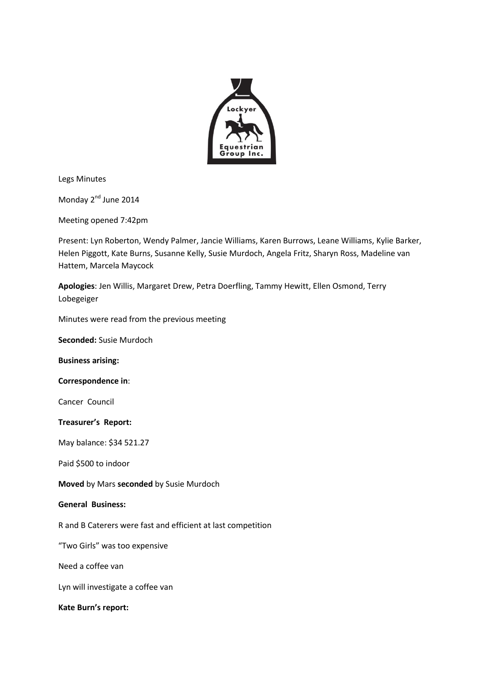

Legs Minutes

Monday 2<sup>nd</sup> June 2014

Meeting opened 7:42pm

Present: Lyn Roberton, Wendy Palmer, Jancie Williams, Karen Burrows, Leane Williams, Kylie Barker, Helen Piggott, Kate Burns, Susanne Kelly, Susie Murdoch, Angela Fritz, Sharyn Ross, Madeline van Hattem, Marcela Maycock

**Apologies**: Jen Willis, Margaret Drew, Petra Doerfling, Tammy Hewitt, Ellen Osmond, Terry Lobegeiger

Minutes were read from the previous meeting

**Seconded:** Susie Murdoch

**Business arising:**

**Correspondence in**:

Cancer Council

## **Treasurer's Report:**

May balance: \$34 521.27

Paid \$500 to indoor

**Moved** by Mars **seconded** by Susie Murdoch

## **General Business:**

R and B Caterers were fast and efficient at last competition

"Two Girls" was too expensive

Need a coffee van

Lyn will investigate a coffee van

**Kate Burn's report:**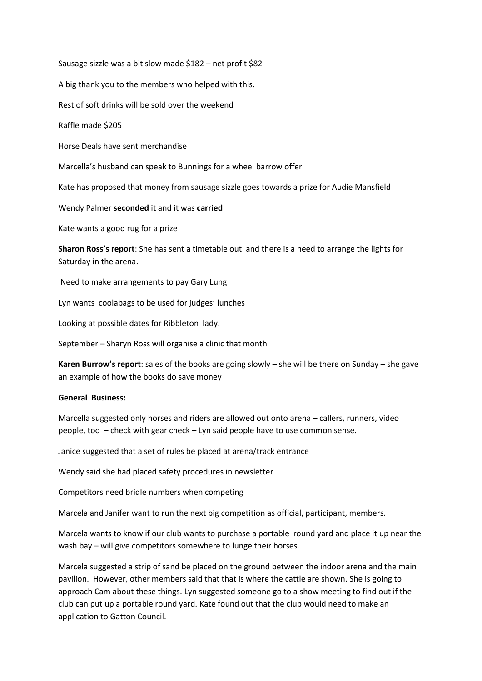Sausage sizzle was a bit slow made \$182 – net profit \$82

A big thank you to the members who helped with this.

Rest of soft drinks will be sold over the weekend

Raffle made \$205

Horse Deals have sent merchandise

Marcella's husband can speak to Bunnings for a wheel barrow offer

Kate has proposed that money from sausage sizzle goes towards a prize for Audie Mansfield

Wendy Palmer **seconded** it and it was **carried**

Kate wants a good rug for a prize

**Sharon Ross's report**: She has sent a timetable out and there is a need to arrange the lights for Saturday in the arena.

Need to make arrangements to pay Gary Lung

Lyn wants coolabags to be used for judges' lunches

Looking at possible dates for Ribbleton lady.

September – Sharyn Ross will organise a clinic that month

**Karen Burrow's report**: sales of the books are going slowly – she will be there on Sunday – she gave an example of how the books do save money

## **General Business:**

Marcella suggested only horses and riders are allowed out onto arena – callers, runners, video people, too – check with gear check – Lyn said people have to use common sense.

Janice suggested that a set of rules be placed at arena/track entrance

Wendy said she had placed safety procedures in newsletter

Competitors need bridle numbers when competing

Marcela and Janifer want to run the next big competition as official, participant, members.

Marcela wants to know if our club wants to purchase a portable round yard and place it up near the wash bay – will give competitors somewhere to lunge their horses.

Marcela suggested a strip of sand be placed on the ground between the indoor arena and the main pavilion. However, other members said that that is where the cattle are shown. She is going to approach Cam about these things. Lyn suggested someone go to a show meeting to find out if the club can put up a portable round yard. Kate found out that the club would need to make an application to Gatton Council.